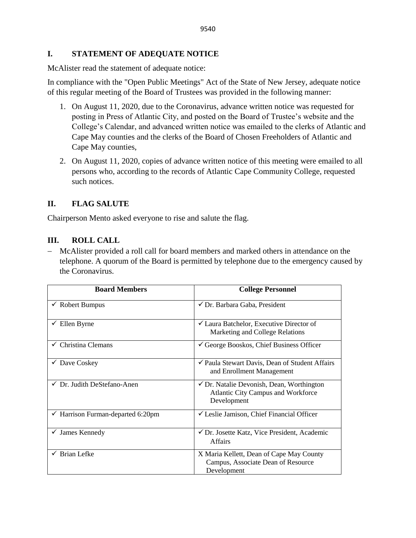## **I. STATEMENT OF ADEQUATE NOTICE**

McAlister read the statement of adequate notice:

In compliance with the "Open Public Meetings" Act of the State of New Jersey, adequate notice of this regular meeting of the Board of Trustees was provided in the following manner:

- 1. On August 11, 2020, due to the Coronavirus, advance written notice was requested for posting in Press of Atlantic City, and posted on the Board of Trustee's website and the College's Calendar, and advanced written notice was emailed to the clerks of Atlantic and Cape May counties and the clerks of the Board of Chosen Freeholders of Atlantic and Cape May counties,
- 2. On August 11, 2020, copies of advance written notice of this meeting were emailed to all persons who, according to the records of Atlantic Cape Community College, requested such notices.

# **II. FLAG SALUTE**

Chairperson Mento asked everyone to rise and salute the flag.

# **III. ROLL CALL**

− McAlister provided a roll call for board members and marked others in attendance on the telephone. A quorum of the Board is permitted by telephone due to the emergency caused by the Coronavirus.

| <b>Board Members</b>                         | <b>College Personnel</b>                                                                                         |
|----------------------------------------------|------------------------------------------------------------------------------------------------------------------|
| $\checkmark$ Robert Bumpus                   | $\checkmark$ Dr. Barbara Gaba, President                                                                         |
| Ellen Byrne                                  | $\checkmark$ Laura Batchelor, Executive Director of<br>Marketing and College Relations                           |
| $\checkmark$ Christina Clemans               | $\checkmark$ George Booskos, Chief Business Officer                                                              |
| $\checkmark$ Dave Coskey                     | ✔ Paula Stewart Davis, Dean of Student Affairs<br>and Enrollment Management                                      |
| √ Dr. Judith DeStefano-Anen                  | $\checkmark$ Dr. Natalie Devonish, Dean, Worthington<br><b>Atlantic City Campus and Workforce</b><br>Development |
| $\checkmark$ Harrison Furman-departed 6:20pm | $\checkmark$ Leslie Jamison, Chief Financial Officer                                                             |
| $\checkmark$ James Kennedy                   | ✔ Dr. Josette Katz, Vice President, Academic<br><b>Affairs</b>                                                   |
| $\checkmark$ Brian Lefke                     | X Maria Kellett, Dean of Cape May County<br>Campus, Associate Dean of Resource<br>Development                    |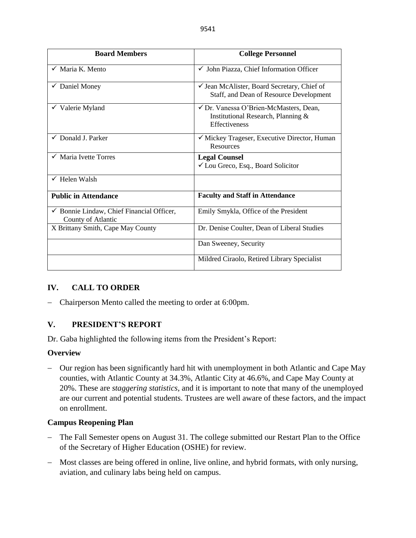| <b>Board Members</b>                                                       | <b>College Personnel</b>                                                                             |  |  |
|----------------------------------------------------------------------------|------------------------------------------------------------------------------------------------------|--|--|
| $\checkmark$ Maria K. Mento                                                | √ John Piazza, Chief Information Officer                                                             |  |  |
| $\checkmark$ Daniel Money                                                  | $\checkmark$ Jean McAlister, Board Secretary, Chief of<br>Staff, and Dean of Resource Development    |  |  |
| $\checkmark$ Valerie Myland                                                | √ Dr. Vanessa O'Brien-McMasters, Dean,<br>Institutional Research, Planning &<br><b>Effectiveness</b> |  |  |
| $\checkmark$ Donald J. Parker                                              | ✓ Mickey Trageser, Executive Director, Human<br><b>Resources</b>                                     |  |  |
| $\checkmark$ Maria Ivette Torres                                           | <b>Legal Counsel</b><br>√ Lou Greco, Esq., Board Solicitor                                           |  |  |
| $\checkmark$ Helen Walsh                                                   |                                                                                                      |  |  |
| <b>Public in Attendance</b>                                                | <b>Faculty and Staff in Attendance</b>                                                               |  |  |
| $\checkmark$ Bonnie Lindaw, Chief Financial Officer,<br>County of Atlantic | Emily Smykla, Office of the President                                                                |  |  |
| X Brittany Smith, Cape May County                                          | Dr. Denise Coulter, Dean of Liberal Studies                                                          |  |  |
|                                                                            | Dan Sweeney, Security                                                                                |  |  |
|                                                                            | Mildred Ciraolo, Retired Library Specialist                                                          |  |  |

# **IV. CALL TO ORDER**

− Chairperson Mento called the meeting to order at 6:00pm.

# **V. PRESIDENT'S REPORT**

Dr. Gaba highlighted the following items from the President's Report:

# **Overview**

− Our region has been significantly hard hit with unemployment in both Atlantic and Cape May counties, with Atlantic County at 34.3%, Atlantic City at 46.6%, and Cape May County at 20%. These are *staggering statistics*, and it is important to note that many of the unemployed are our current and potential students. Trustees are well aware of these factors, and the impact on enrollment.

# **Campus Reopening Plan**

- − The Fall Semester opens on August 31. The college submitted our Restart Plan to the Office of the Secretary of Higher Education (OSHE) for review.
- − Most classes are being offered in online, live online, and hybrid formats, with only nursing, aviation, and culinary labs being held on campus.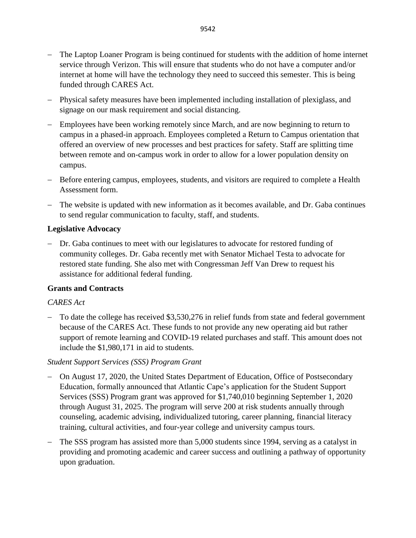- − The Laptop Loaner Program is being continued for students with the addition of home internet service through Verizon. This will ensure that students who do not have a computer and/or internet at home will have the technology they need to succeed this semester. This is being funded through CARES Act.
- − Physical safety measures have been implemented including installation of plexiglass, and signage on our mask requirement and social distancing.
- − Employees have been working remotely since March, and are now beginning to return to campus in a phased-in approach. Employees completed a Return to Campus orientation that offered an overview of new processes and best practices for safety. Staff are splitting time between remote and on-campus work in order to allow for a lower population density on campus.
- − Before entering campus, employees, students, and visitors are required to complete a Health Assessment form.
- − The website is updated with new information as it becomes available, and Dr. Gaba continues to send regular communication to faculty, staff, and students.

# **Legislative Advocacy**

− Dr. Gaba continues to meet with our legislatures to advocate for restored funding of community colleges. Dr. Gaba recently met with Senator Michael Testa to advocate for restored state funding. She also met with Congressman Jeff Van Drew to request his assistance for additional federal funding.

# **Grants and Contracts**

# *CARES Act*

− To date the college has received \$3,530,276 in relief funds from state and federal government because of the CARES Act. These funds to not provide any new operating aid but rather support of remote learning and COVID-19 related purchases and staff. This amount does not include the \$1,980,171 in aid to students.

# *Student Support Services (SSS) Program Grant*

- − On August 17, 2020, the United States Department of Education, Office of Postsecondary Education, formally announced that Atlantic Cape's application for the Student Support Services (SSS) Program grant was approved for \$1,740,010 beginning September 1, 2020 through August 31, 2025. The program will serve 200 at risk students annually through counseling, academic advising, individualized tutoring, career planning, financial literacy training, cultural activities, and four-year college and university campus tours.
- − The SSS program has assisted more than 5,000 students since 1994, serving as a catalyst in providing and promoting academic and career success and outlining a pathway of opportunity upon graduation.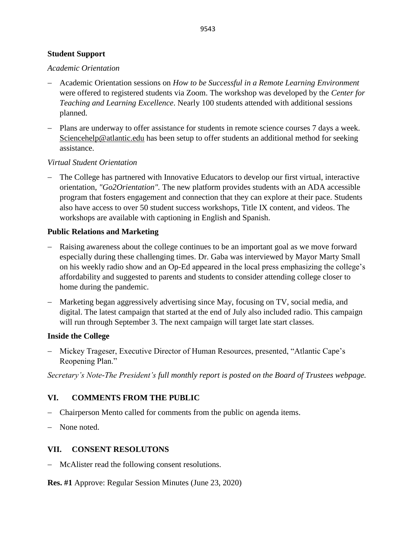## **Student Support**

#### *Academic Orientation*

- − Academic Orientation sessions on *How to be Successful in a Remote Learning Environment* were offered to registered students via Zoom. The workshop was developed by the *Center for Teaching and Learning Excellence*. Nearly 100 students attended with additional sessions planned.
- − Plans are underway to offer assistance for students in remote science courses 7 days a week. [Sciencehelp@atlantic.edu](mailto:Sciencehelp@atlantic.edu) has been setup to offer students an additional method for seeking assistance.

## *Virtual Student Orientation*

− The College has partnered with Innovative Educators to develop our first virtual, interactive orientation, *"Go2Orientation".* The new platform provides students with an ADA accessible program that fosters engagement and connection that they can explore at their pace. Students also have access to over 50 student success workshops, Title IX content, and videos. The workshops are available with captioning in English and Spanish.

## **Public Relations and Marketing**

- − Raising awareness about the college continues to be an important goal as we move forward especially during these challenging times. Dr. Gaba was interviewed by Mayor Marty Small on his weekly radio show and an Op-Ed appeared in the local press emphasizing the college's affordability and suggested to parents and students to consider attending college closer to home during the pandemic.
- − Marketing began aggressively advertising since May, focusing on TV, social media, and digital. The latest campaign that started at the end of July also included radio. This campaign will run through September 3. The next campaign will target late start classes.

## **Inside the College**

− Mickey Trageser, Executive Director of Human Resources, presented, "Atlantic Cape's Reopening Plan."

*Secretary's Note-The President's full monthly report is posted on the Board of Trustees webpage.*

# **VI. COMMENTS FROM THE PUBLIC**

- − Chairperson Mento called for comments from the public on agenda items.
- − None noted.

## **VII. CONSENT RESOLUTONS**

− McAlister read the following consent resolutions.

**Res. #1** Approve: Regular Session Minutes (June 23, 2020)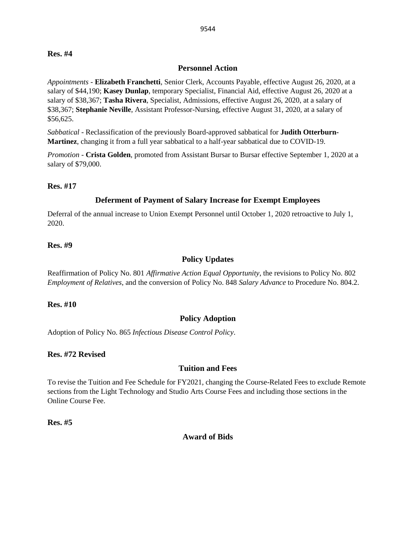#### **Personnel Action**

*Appointments -* **Elizabeth Franchetti**, Senior Clerk, Accounts Payable, effective August 26, 2020, at a salary of \$44,190; **Kasey Dunlap**, temporary Specialist, Financial Aid, effective August 26, 2020 at a salary of \$38,367; **Tasha Rivera**, Specialist, Admissions, effective August 26, 2020, at a salary of \$38,367; **Stephanie Neville**, Assistant Professor-Nursing, effective August 31, 2020, at a salary of \$56,625.

*Sabbatical -* Reclassification of the previously Board-approved sabbatical for **Judith Otterburn-Martinez**, changing it from a full year sabbatical to a half-year sabbatical due to COVID-19.

*Promotion -* **Crista Golden**, promoted from Assistant Bursar to Bursar effective September 1, 2020 at a salary of \$79,000.

#### **Res. #17**

#### **Deferment of Payment of Salary Increase for Exempt Employees**

Deferral of the annual increase to Union Exempt Personnel until October 1, 2020 retroactive to July 1, 2020.

## **Res. #9**

## **Policy Updates**

Reaffirmation of Policy No. 801 *Affirmative Action Equal Opportunity*, the revisions to Policy No. 802 *Employment of Relatives*, and the conversion of Policy No. 848 *Salary Advance* to Procedure No. 804.2.

#### **Res. #10**

## **Policy Adoption**

Adoption of Policy No. 865 *Infectious Disease Control Policy*.

#### **Res. #72 Revised**

#### **Tuition and Fees**

To revise the Tuition and Fee Schedule for FY2021, changing the Course-Related Fees to exclude Remote sections from the Light Technology and Studio Arts Course Fees and including those sections in the Online Course Fee.

**Res. #5**

## **Award of Bids**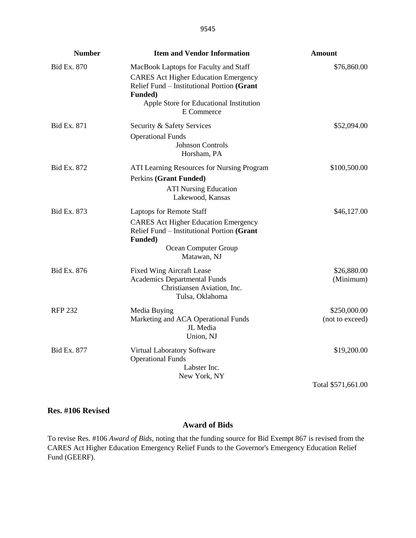| <b>Number</b>      | <b>Item and Vendor Information</b>                                                                                                                                                                     | <b>Amount</b>                   |
|--------------------|--------------------------------------------------------------------------------------------------------------------------------------------------------------------------------------------------------|---------------------------------|
| <b>Bid Ex. 870</b> | MacBook Laptops for Faculty and Staff<br><b>CARES</b> Act Higher Education Emergency<br>Relief Fund - Institutional Portion (Grant<br>Funded)<br>Apple Store for Educational Institution<br>E Commerce | \$76,860.00                     |
| Bid Ex. 871        | Security & Safety Services<br><b>Operational Funds</b><br><b>Johnson Controls</b><br>Horsham, PA                                                                                                       | \$52,094.00                     |
| Bid Ex. 872        | ATI Learning Resources for Nursing Program<br>Perkins (Grant Funded)<br><b>ATI Nursing Education</b><br>Lakewood, Kansas                                                                               | \$100,500.00                    |
| Bid Ex. 873        | <b>Laptops for Remote Staff</b><br><b>CARES</b> Act Higher Education Emergency<br>Relief Fund – Institutional Portion (Grant<br>Funded)<br>Ocean Computer Group<br>Matawan, NJ                         | \$46,127.00                     |
| Bid Ex. 876        | <b>Fixed Wing Aircraft Lease</b><br><b>Academics Departmental Funds</b><br>Christiansen Aviation, Inc.<br>Tulsa, Oklahoma                                                                              | \$26,880.00<br>(Minimum)        |
| RFP 232            | Media Buying<br>Marketing and ACA Operational Funds<br>JL Media<br>Union, NJ                                                                                                                           | \$250,000.00<br>(not to exceed) |
| <b>Bid Ex. 877</b> | Virtual Laboratory Software<br><b>Operational Funds</b><br>Labster Inc.<br>New York, NY                                                                                                                | \$19,200.00                     |
|                    |                                                                                                                                                                                                        | Total \$571,661.00              |

## **Res. #106 Revised**

# **Award of Bids**

To revise Res. #106 *Award of Bids*, noting that the funding source for Bid Exempt 867 is revised from the CARES Act Higher Education Emergency Relief Funds to the Governor's Emergency Education Relief Fund (GEERF).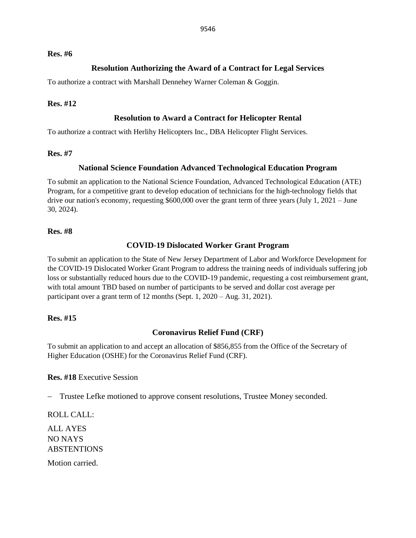## **Resolution Authorizing the Award of a Contract for Legal Services**

To authorize a contract with Marshall Dennehey Warner Coleman & Goggin.

#### **Res. #12**

## **Resolution to Award a Contract for Helicopter Rental**

To authorize a contract with Herlihy Helicopters Inc., DBA Helicopter Flight Services.

#### **Res. #7**

## **National Science Foundation Advanced Technological Education Program**

To submit an application to the National Science Foundation, Advanced Technological Education (ATE) Program, for a competitive grant to develop education of technicians for the high-technology fields that drive our nation's economy, requesting \$600,000 over the grant term of three years (July 1, 2021 – June 30, 2024).

#### **Res. #8**

## **COVID-19 Dislocated Worker Grant Program**

To submit an application to the State of New Jersey Department of Labor and Workforce Development for the COVID-19 Dislocated Worker Grant Program to address the training needs of individuals suffering job loss or substantially reduced hours due to the COVID-19 pandemic, requesting a cost reimbursement grant, with total amount TBD based on number of participants to be served and dollar cost average per participant over a grant term of 12 months (Sept. 1, 2020 – Aug. 31, 2021).

## **Res. #15**

# **Coronavirus Relief Fund (CRF)**

To submit an application to and accept an allocation of \$856,855 from the Office of the Secretary of Higher Education (OSHE) for the Coronavirus Relief Fund (CRF).

**Res. #18** Executive Session

− Trustee Lefke motioned to approve consent resolutions, Trustee Money seconded.

ROLL CALL:

ALL AYES NO NAYS **ABSTENTIONS** Motion carried.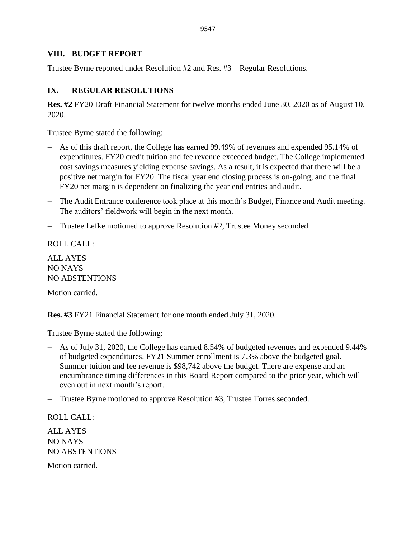9547

## **VIII. BUDGET REPORT**

Trustee Byrne reported under Resolution #2 and Res. #3 – Regular Resolutions.

# **IX. REGULAR RESOLUTIONS**

**Res. #2** FY20 Draft Financial Statement for twelve months ended June 30, 2020 as of August 10, 2020.

Trustee Byrne stated the following:

- − As of this draft report, the College has earned 99.49% of revenues and expended 95.14% of expenditures. FY20 credit tuition and fee revenue exceeded budget. The College implemented cost savings measures yielding expense savings. As a result, it is expected that there will be a positive net margin for FY20. The fiscal year end closing process is on-going, and the final FY20 net margin is dependent on finalizing the year end entries and audit.
- − The Audit Entrance conference took place at this month's Budget, Finance and Audit meeting. The auditors' fieldwork will begin in the next month.
- − Trustee Lefke motioned to approve Resolution #2, Trustee Money seconded.

ROLL CALL:

ALL AYES NO NAYS NO ABSTENTIONS

Motion carried.

**Res. #3** FY21 Financial Statement for one month ended July 31, 2020.

Trustee Byrne stated the following:

- − As of July 31, 2020, the College has earned 8.54% of budgeted revenues and expended 9.44% of budgeted expenditures. FY21 Summer enrollment is 7.3% above the budgeted goal. Summer tuition and fee revenue is \$98,742 above the budget. There are expense and an encumbrance timing differences in this Board Report compared to the prior year, which will even out in next month's report.
- − Trustee Byrne motioned to approve Resolution #3, Trustee Torres seconded.

ROLL CALL: ALL AYES NO NAYS NO ABSTENTIONS Motion carried.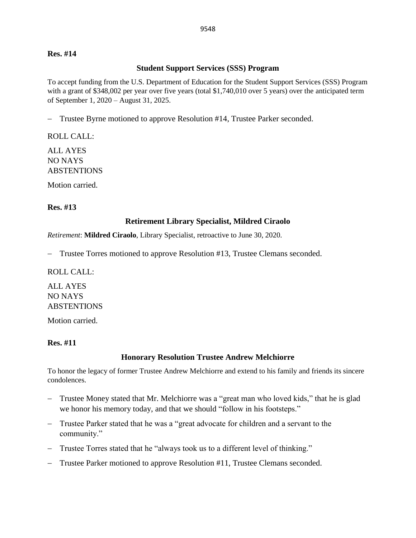#### **Student Support Services (SSS) Program**

To accept funding from the U.S. Department of Education for the Student Support Services (SSS) Program with a grant of \$348,002 per year over five years (total \$1,740,010 over 5 years) over the anticipated term of September 1, 2020 – August 31, 2025.

− Trustee Byrne motioned to approve Resolution #14, Trustee Parker seconded.

ROLL CALL:

ALL AYES NO NAYS **ABSTENTIONS** 

Motion carried.

## **Res. #13**

## **Retirement Library Specialist, Mildred Ciraolo**

*Retirement*: **Mildred Ciraolo**, Library Specialist, retroactive to June 30, 2020.

− Trustee Torres motioned to approve Resolution #13, Trustee Clemans seconded.

ROLL CALL:

ALL AYES NO NAYS ABSTENTIONS

Motion carried.

## **Res. #11**

## **Honorary Resolution Trustee Andrew Melchiorre**

To honor the legacy of former Trustee Andrew Melchiorre and extend to his family and friends its sincere condolences.

- − Trustee Money stated that Mr. Melchiorre was a "great man who loved kids," that he is glad we honor his memory today, and that we should "follow in his footsteps."
- − Trustee Parker stated that he was a "great advocate for children and a servant to the community."
- − Trustee Torres stated that he "always took us to a different level of thinking."
- − Trustee Parker motioned to approve Resolution #11, Trustee Clemans seconded.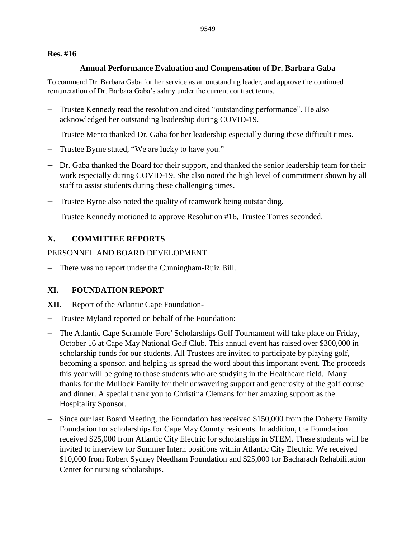## **Annual Performance Evaluation and Compensation of Dr. Barbara Gaba**

To commend Dr. Barbara Gaba for her service as an outstanding leader, and approve the continued remuneration of Dr. Barbara Gaba's salary under the current contract terms.

- − Trustee Kennedy read the resolution and cited "outstanding performance". He also acknowledged her outstanding leadership during COVID-19.
- − Trustee Mento thanked Dr. Gaba for her leadership especially during these difficult times.
- − Trustee Byrne stated, "We are lucky to have you."
- − Dr. Gaba thanked the Board for their support, and thanked the senior leadership team for their work especially during COVID-19. She also noted the high level of commitment shown by all staff to assist students during these challenging times.
- − Trustee Byrne also noted the quality of teamwork being outstanding.
- − Trustee Kennedy motioned to approve Resolution #16, Trustee Torres seconded.

# **X. COMMITTEE REPORTS**

PERSONNEL AND BOARD DEVELOPMENT

− There was no report under the Cunningham-Ruiz Bill.

# **XI. FOUNDATION REPORT**

- **XII.** Report of the Atlantic Cape Foundation-
- − Trustee Myland reported on behalf of the Foundation:
- − The Atlantic Cape Scramble 'Fore' Scholarships Golf Tournament will take place on Friday, October 16 at Cape May National Golf Club. This annual event has raised over \$300,000 in scholarship funds for our students. All Trustees are invited to participate by playing golf, becoming a sponsor, and helping us spread the word about this important event. The proceeds this year will be going to those students who are studying in the Healthcare field. Many thanks for the Mullock Family for their unwavering support and generosity of the golf course and dinner. A special thank you to Christina Clemans for her amazing support as the Hospitality Sponsor.
- Since our last Board Meeting, the Foundation has received \$150,000 from the Doherty Family Foundation for scholarships for Cape May County residents. In addition, the Foundation received \$25,000 from Atlantic City Electric for scholarships in STEM. These students will be invited to interview for Summer Intern positions within Atlantic City Electric. We received \$10,000 from Robert Sydney Needham Foundation and \$25,000 for Bacharach Rehabilitation Center for nursing scholarships.